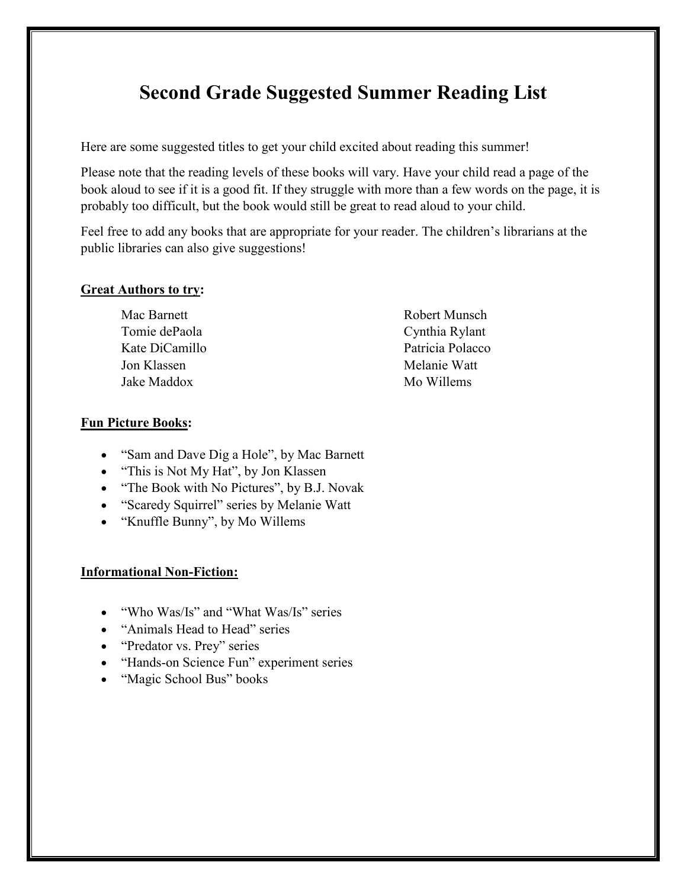# **Second Grade Suggested Summer Reading List**

Here are some suggested titles to get your child excited about reading this summer!

Please note that the reading levels of these books will vary. Have your child read a page of the book aloud to see if it is a good fit. If they struggle with more than a few words on the page, it is probably too difficult, but the book would still be great to read aloud to your child.

Feel free to add any books that are appropriate for your reader. The children's librarians at the public libraries can also give suggestions!

#### **Great Authors to try:**

Mac Barnett Tomie dePaola Kate DiCamillo Jon Klassen Jake Maddox

Robert Munsch Cynthia Rylant Patricia Polacco Melanie Watt Mo Willems

#### **Fun Picture Books:**

- "Sam and Dave Dig a Hole", by Mac Barnett
- "This is Not My Hat", by Jon Klassen
- "The Book with No Pictures", by B.J. Novak
- "Scaredy Squirrel" series by Melanie Watt
- "Knuffle Bunny", by Mo Willems

#### **Informational Non-Fiction:**

- "Who Was/Is" and "What Was/Is" series
- "Animals Head to Head" series
- "Predator vs. Prey" series
- "Hands-on Science Fun" experiment series
- "Magic School Bus" books